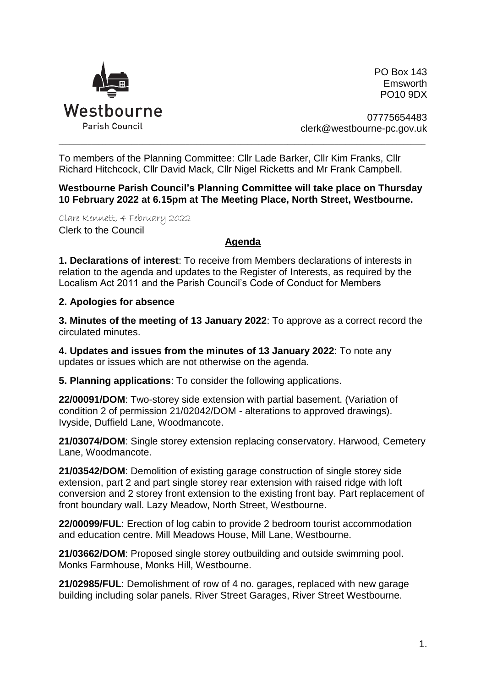

PO Box 143 Emsworth PO10 9DX

07775654483 clerk@westbourne-pc.gov.uk

To members of the Planning Committee: Cllr Lade Barker, Cllr Kim Franks, Cllr Richard Hitchcock, Cllr David Mack, Cllr Nigel Ricketts and Mr Frank Campbell.

**Westbourne Parish Council's Planning Committee will take place on Thursday 10 February 2022 at 6.15pm at The Meeting Place, North Street, Westbourne.** 

\_\_\_\_\_\_\_\_\_\_\_\_\_\_\_\_\_\_\_\_\_\_\_\_\_\_\_\_\_\_\_\_\_\_\_\_\_\_\_\_\_\_\_\_\_\_\_\_\_\_\_\_\_\_\_\_\_\_\_\_\_\_\_\_\_\_\_\_\_\_\_\_\_\_\_\_\_\_\_\_\_\_\_\_\_\_\_\_\_\_\_\_\_\_\_\_\_\_\_\_\_

Clare Kennett, 4 February 2022 Clerk to the Council

## **Agenda**

**1. Declarations of interest**: To receive from Members declarations of interests in relation to the agenda and updates to the Register of Interests, as required by the Localism Act 2011 and the Parish Council's Code of Conduct for Members

## **2. Apologies for absence**

**3. Minutes of the meeting of 13 January 2022**: To approve as a correct record the circulated minutes.

**4. Updates and issues from the minutes of 13 January 2022**: To note any updates or issues which are not otherwise on the agenda.

**5. Planning applications**: To consider the following applications.

**22/00091/DOM**: Two-storey side extension with partial basement. (Variation of condition 2 of permission 21/02042/DOM - alterations to approved drawings). Ivyside, Duffield Lane, Woodmancote.

**21/03074/DOM**: Single storey extension replacing conservatory. Harwood, Cemetery Lane, Woodmancote.

**21/03542/DOM**: Demolition of existing garage construction of single storey side extension, part 2 and part single storey rear extension with raised ridge with loft conversion and 2 storey front extension to the existing front bay. Part replacement of front boundary wall. Lazy Meadow, North Street, Westbourne.

**22/00099/FUL**: Erection of log cabin to provide 2 bedroom tourist accommodation and education centre. Mill Meadows House, Mill Lane, Westbourne.

**21/03662/DOM**: Proposed single storey outbuilding and outside swimming pool. Monks Farmhouse, Monks Hill, Westbourne.

**21/02985/FUL**: Demolishment of row of 4 no. garages, replaced with new garage building including solar panels. River Street Garages, River Street Westbourne.